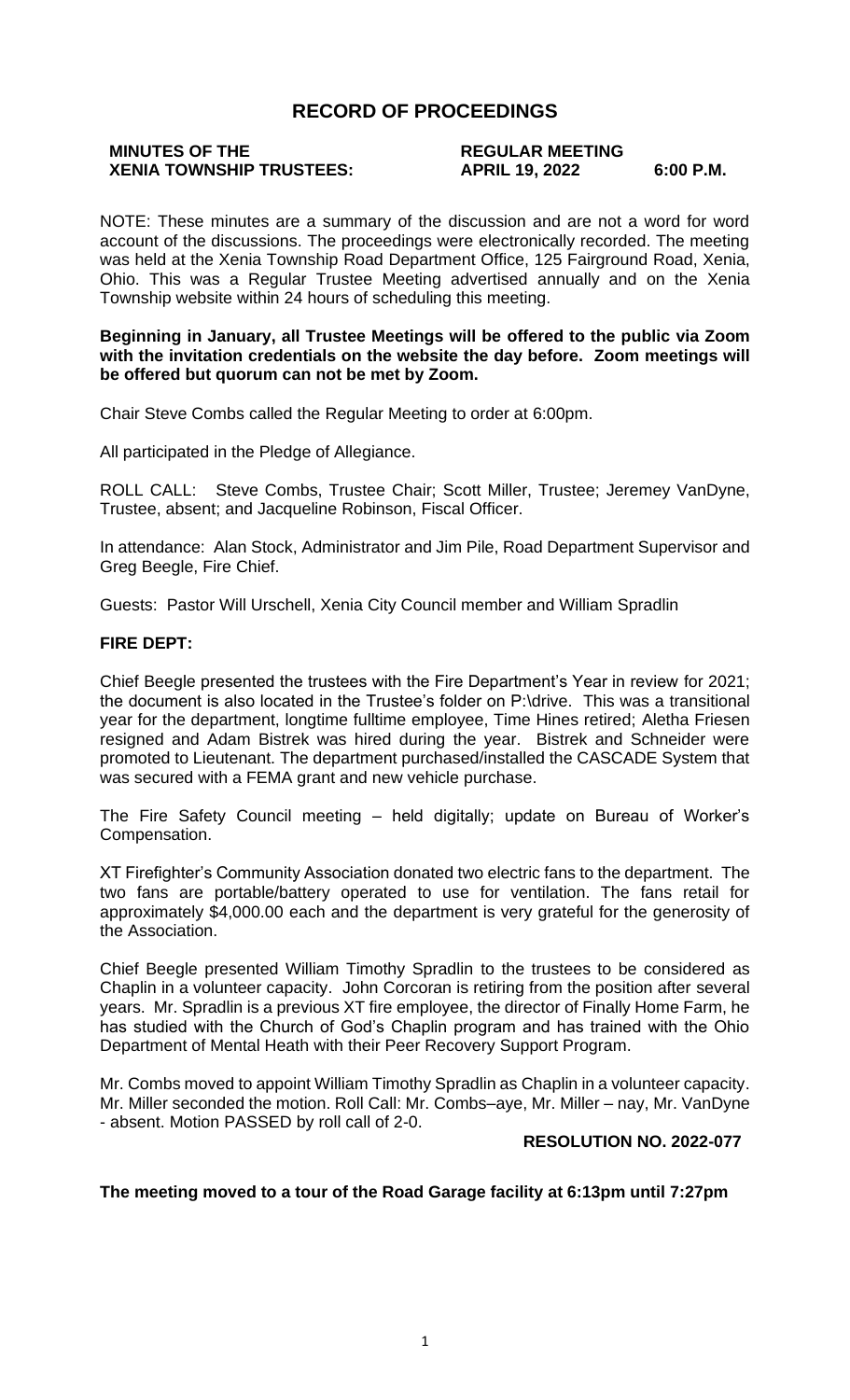# **RECORD OF PROCEEDINGS**

# **MINUTES OF THE REGULAR MEETING**

# **XENIA TOWNSHIP TRUSTEES: APRIL 19, 2022 6:00 P.M.**

NOTE: These minutes are a summary of the discussion and are not a word for word account of the discussions. The proceedings were electronically recorded. The meeting was held at the Xenia Township Road Department Office, 125 Fairground Road, Xenia, Ohio. This was a Regular Trustee Meeting advertised annually and on the Xenia Township website within 24 hours of scheduling this meeting.

#### **Beginning in January, all Trustee Meetings will be offered to the public via Zoom with the invitation credentials on the website the day before. Zoom meetings will be offered but quorum can not be met by Zoom.**

Chair Steve Combs called the Regular Meeting to order at 6:00pm.

All participated in the Pledge of Allegiance.

ROLL CALL: Steve Combs, Trustee Chair; Scott Miller, Trustee; Jeremey VanDyne, Trustee, absent; and Jacqueline Robinson, Fiscal Officer.

In attendance: Alan Stock, Administrator and Jim Pile, Road Department Supervisor and Greg Beegle, Fire Chief.

Guests: Pastor Will Urschell, Xenia City Council member and William Spradlin

### **FIRE DEPT:**

Chief Beegle presented the trustees with the Fire Department's Year in review for 2021; the document is also located in the Trustee's folder on P:\drive. This was a transitional year for the department, longtime fulltime employee, Time Hines retired; Aletha Friesen resigned and Adam Bistrek was hired during the year. Bistrek and Schneider were promoted to Lieutenant. The department purchased/installed the CASCADE System that was secured with a FEMA grant and new vehicle purchase.

The Fire Safety Council meeting – held digitally; update on Bureau of Worker's Compensation.

XT Firefighter's Community Association donated two electric fans to the department. The two fans are portable/battery operated to use for ventilation. The fans retail for approximately \$4,000.00 each and the department is very grateful for the generosity of the Association.

Chief Beegle presented William Timothy Spradlin to the trustees to be considered as Chaplin in a volunteer capacity. John Corcoran is retiring from the position after several years. Mr. Spradlin is a previous XT fire employee, the director of Finally Home Farm, he has studied with the Church of God's Chaplin program and has trained with the Ohio Department of Mental Heath with their Peer Recovery Support Program.

Mr. Combs moved to appoint William Timothy Spradlin as Chaplin in a volunteer capacity. Mr. Miller seconded the motion. Roll Call: Mr. Combs–aye, Mr. Miller – nay, Mr. VanDyne - absent. Motion PASSED by roll call of 2-0.

#### **RESOLUTION NO. 2022-077**

#### **The meeting moved to a tour of the Road Garage facility at 6:13pm until 7:27pm**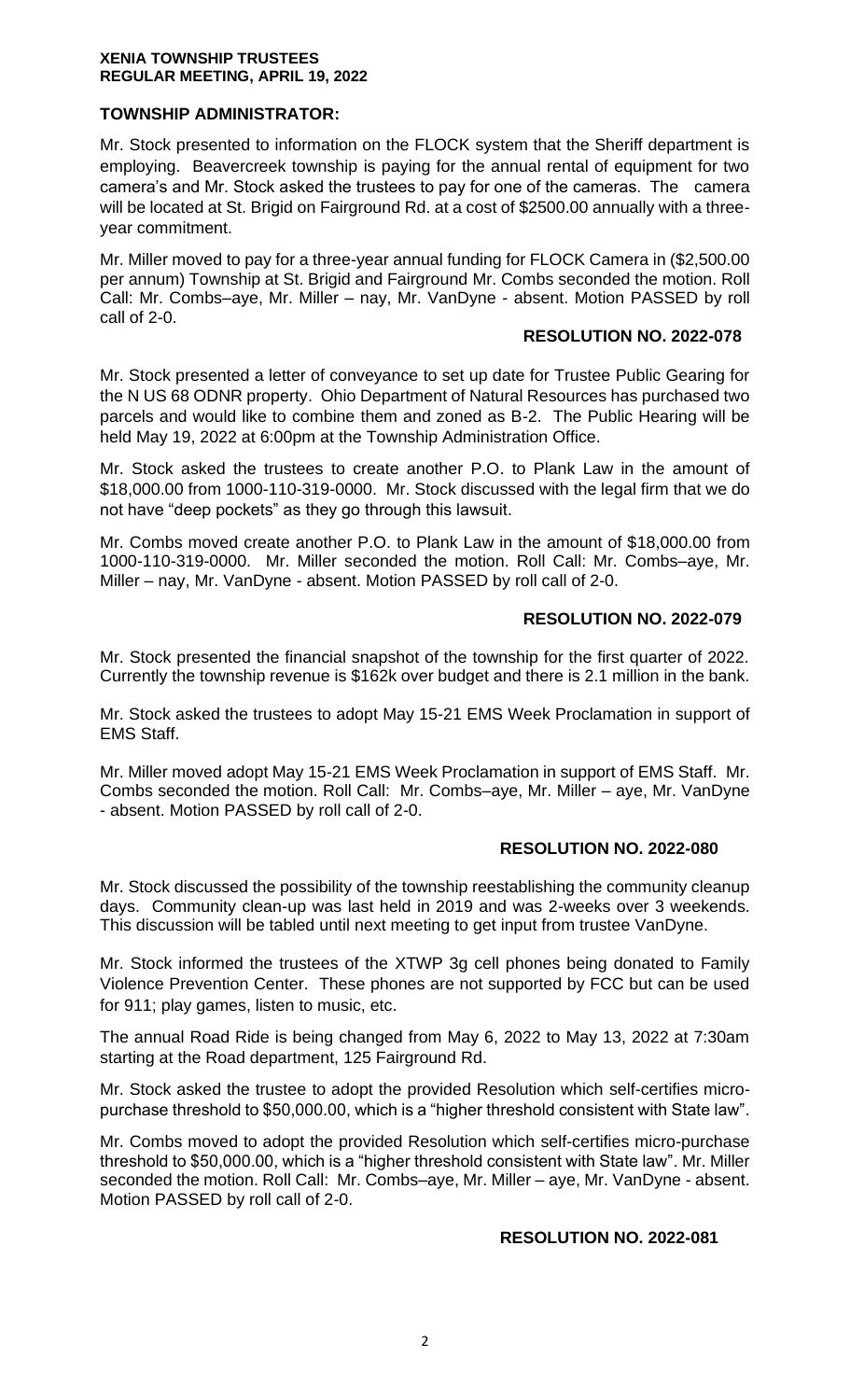#### **XENIA TOWNSHIP TRUSTEES REGULAR MEETING, APRIL 19, 2022**

# **TOWNSHIP ADMINISTRATOR:**

Mr. Stock presented to information on the FLOCK system that the Sheriff department is employing. Beavercreek township is paying for the annual rental of equipment for two camera's and Mr. Stock asked the trustees to pay for one of the cameras. The camera will be located at St. Brigid on Fairground Rd. at a cost of \$2500.00 annually with a threeyear commitment.

Mr. Miller moved to pay for a three-year annual funding for FLOCK Camera in (\$2,500.00 per annum) Township at St. Brigid and Fairground Mr. Combs seconded the motion. Roll Call: Mr. Combs–aye, Mr. Miller – nay, Mr. VanDyne - absent. Motion PASSED by roll call of 2-0.

#### **RESOLUTION NO. 2022-078**

Mr. Stock presented a letter of conveyance to set up date for Trustee Public Gearing for the N US 68 ODNR property. Ohio Department of Natural Resources has purchased two parcels and would like to combine them and zoned as B-2. The Public Hearing will be held May 19, 2022 at 6:00pm at the Township Administration Office.

Mr. Stock asked the trustees to create another P.O. to Plank Law in the amount of \$18,000.00 from 1000-110-319-0000. Mr. Stock discussed with the legal firm that we do not have "deep pockets" as they go through this lawsuit.

Mr. Combs moved create another P.O. to Plank Law in the amount of \$18,000.00 from 1000-110-319-0000. Mr. Miller seconded the motion. Roll Call: Mr. Combs–aye, Mr. Miller – nay, Mr. VanDyne - absent. Motion PASSED by roll call of 2-0.

### **RESOLUTION NO. 2022-079**

Mr. Stock presented the financial snapshot of the township for the first quarter of 2022. Currently the township revenue is \$162k over budget and there is 2.1 million in the bank.

Mr. Stock asked the trustees to adopt May 15-21 EMS Week Proclamation in support of EMS Staff.

Mr. Miller moved adopt May 15-21 EMS Week Proclamation in support of EMS Staff. Mr. Combs seconded the motion. Roll Call: Mr. Combs–aye, Mr. Miller – aye, Mr. VanDyne - absent. Motion PASSED by roll call of 2-0.

# **RESOLUTION NO. 2022-080**

Mr. Stock discussed the possibility of the township reestablishing the community cleanup days. Community clean-up was last held in 2019 and was 2-weeks over 3 weekends. This discussion will be tabled until next meeting to get input from trustee VanDyne.

Mr. Stock informed the trustees of the XTWP 3g cell phones being donated to Family Violence Prevention Center. These phones are not supported by FCC but can be used for 911; play games, listen to music, etc.

The annual Road Ride is being changed from May 6, 2022 to May 13, 2022 at 7:30am starting at the Road department, 125 Fairground Rd.

Mr. Stock asked the trustee to adopt the provided Resolution which self-certifies micropurchase threshold to \$50,000.00, which is a "higher threshold consistent with State law".

Mr. Combs moved to adopt the provided Resolution which self-certifies micro-purchase threshold to \$50,000.00, which is a "higher threshold consistent with State law". Mr. Miller seconded the motion. Roll Call: Mr. Combs–aye, Mr. Miller – aye, Mr. VanDyne - absent. Motion PASSED by roll call of 2-0.

#### **RESOLUTION NO. 2022-081**